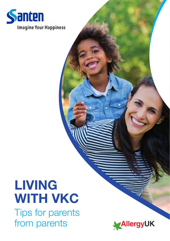

# LIVING WITH VKC

Tips for parents from parents

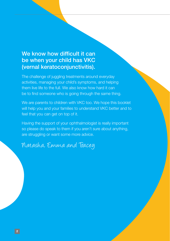#### We know how difficult it can be when your child has VKC (vernal keratoconjunctivitis).

The challenge of juggling treatments around everyday activities, managing your child's symptoms, and helping them live life to the full. We also know how hard it can be to find someone who is going through the same thing.

We are parents to children with VKC too. We hope this booklet will help you and your families to understand VKC better and to feel that you can get on top of it.

Having the support of your ophthalmologist is really important so please do speak to them if you aren't sure about anything, are struggling or want some more advice.

Natasha, Emma and Tracey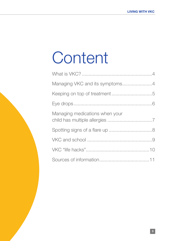# **Content**

| Managing medications when your |  |
|--------------------------------|--|
|                                |  |
|                                |  |
|                                |  |
|                                |  |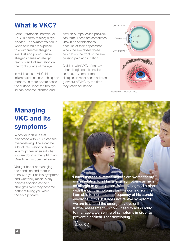# What is VKC?

Vernal keratoconjunctivitis, or VKC, is a form of allergic eye disease. The symptoms occur when children are exposed to environmental allergens like dust and pollen. These allergens cause an allergic reaction and inflammation on the front surface of the eye.

In mild cases of VKC this inflammation causes itching and redness. In more severe cases the surface under the top eye lid can become inflamed and

swollen bumps (called papillae) can form. These are sometimes known as cobblestones because of their appearance. When the eye closes these can rub on the front of the eye causing pain and irritation.

Children with VKC often have other allergic conditions like asthma, eczema or food allergies. In most cases children grow out of VKC by the time they reach adulthood.



Papillae or "cobblestones"

# **Managing** VKC and its symptoms

When your child is first diagnosed with VKC it can feel overwhelming. There can be a lot of information to take in. You might feel unsure if what you are doing is the right thing. Over time this does get easier.

You get better at managing the condition and more in tune with your child's symptoms and what they mean. Many parents also find as their child gets older they become better at telling you when there's a problem.

"I know that the summer months are worse for my son in relation to all his allergy symptoms as he is so allergic to grass pollen. We have agreed a plan with the ophthalmologist for this coming summer. I am able to increase the frequency of his steroid eyedrops. If this still does not relieve symptoms we are to attend the emergency eye unit for further assessment. I know I need to act quickly to manage a worsening of symptoms in order to prevent a corneal ulcer developing."

Tracey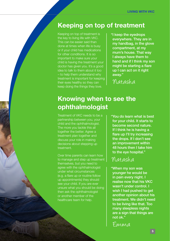#### Keeping on top of treatment

Keeping on top of treatment is the key to living life with VKC. This can be easier said than done at times when life is busy or if your child has medications for other conditions. It is so important to make sure your child is having the treatment your doctor has given you. It's a good idea to talk to them about it too – to help them understand why treatment is important for keeping their eyes healthy so they can keep doing the things they love.

"I keep the eyedrops everywhere. They are in my handbag, in the glove compartment, at my mum's house. That way I always have them to hand and if I think my son might be starting a flare up I can act on it right away."

Natasha

# Knowing when to see the ophthalmologist

Treatment of VKC needs to be a partnership between you, your child and the ophthalmologist. The more you tackle this all together the better. Agree a treatment plan together and discuss your role in making decisions about stepping up

Over time parents can learn how to manage and step up treatment themselves, but you need to agree with the ophthalmologist under what circumstances (e.g. a flare up or routine follow up appointments) they should see your child. If you are ever unsure what you should be doing then ask the ophthalmologist or another member of the healthcare team for help.

"You do learn what is best for your child. It starts to become second nature. If I think he is having a flare up I'll try increasing the drops. If I don't see an improvement within 48 hours then I take him to the eye hospital."

#### Natasha

"When my son was younger he would be in pain every night. I realise now that his VKC wasn't under control. I wish I had pushed to get another opinion about his treatment. We didn't need to be living like that. Too many sleepless nights are a sign that things are not ok."

Emma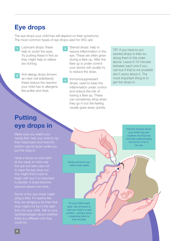#### Eye drops

The eye drops your child has will depend on their symptoms. The most common types of eye drops used for VKC are:

- Lubricant drops: these help to sooth the eyes. Try putting these in first as they might help to relieve any itching.
- Anti-allergy drops (known as mast cell stabilisers): these reduce the reaction your child has to allergens like pollen and dust. 2
- Steroid drops: help to reduce inflammation in the eye. These are often given during a flare up. After the flare up is under control your doctor will usually try to reduce the dose.
- Immunosuppressant drops: used to keep the inflammation under control and reduce the risk of having a flare up. These can sometimes sting when they go in but the feeling usually goes away quickly. 4

TIP: If you have to put several drops in then try doing them in the order above. Leave 5-10 minutes between each one if you can but if that is not possible don't worry about it. The most important thing is to get the drops in.

## **Putting** eye drops in

Make sure you wash your their head back and hold the put the drop in.

Have a tissue or cold cloth at the ready to hold over the eye but take care not You might find it hard to to persist. It does become second nature over time.

Some of the eye drops might sting a little. If it seems like they are stinging a lot then that drop might not be in the right ophthalmologist about whether could try.

Gently pull down your

Tilt your child's head back. Ask someone to hold your child in a safe position - perhaps show a steadying hand on their shoulder

child's lower eyelid

Hold the dropper above your child's eye and squeeze one drop into the lower eyelid avoiding the corner of his or her eye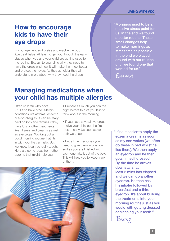#### How to encourage kids to have their eye drops

Encouragement and praise and maybe the odd little treat helps! At least to get you through the early stages when you and your child are getting used to the routine. Explain to your child why they need to have the drops and how it will make them feel better and protect their eyes. As they get older they will understand more about why they need the drops.

"Mornings used to be a massive stress point for us. In the end we found a better routine. These small changes help to make mornings as stress free as possible. In the end we played around with our routine until we found one that worked for us."

Emma

#### Managing medications when your child has multiple allergies

Often children who have VKC also have other allergic conditions like asthma, eczema or food allergies. It can be really hard on kids and families if they have lots of other treatments like inhalers and creams as well as eye drops. Working out a good morning routine that fits in with your life can help. But we know it can be really tough. Here are some ideas from other parents that might help you.

• Prepare as much you can the night before to give you less to think about in the morning.

- If you have several eye drops to give your child get the first drop in early (as soon as you both wake up).
- Put all the medicines you need to give them in one box and as you are finished with each one take it out of the box. This will help you to keep track of them.

"I find it easier to apply the eczema creams as soon as my son wakes (we often do these in bed whilst he lies there). We then apply an eyedrop and he then gets himself dressed. By the time he arrives downstairs, at least 5 mins has elapsed and we can do another eyedrop. He then has his inhaler followed by breakfast and a third eyedrop. It's about building the treatments into your morning routine just as you would with getting dressed or cleaning your teeth."

Tracey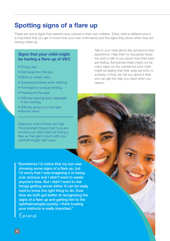## Spotting signs of a flare up

These are some signs that parents have noticed in their own children. Every child is different and it is important that you get to know how your own child reacts and the signs they show when they are having a flare up.

#### Signs that your child might be having a flare up of VKC

- Droopy eye
- Discharge from the eye
- Sticky or watery eyes
- Soreness/itchiness when blinking
- Prolonged or unusual blinking
- Pressing on the eyes
- Difficulty opening eyes, especially in the morning
- Difficulty going out in the light
- Blurred vision

Keeping a note of these can help. The important thing is that if you are worried your child might be having a flare up then get in touch with your ophthalmologist right away.

"Sometimes I'd notice that my son was showing some signs of a flare up, but I'd worry that I was imagining it or being over anxious and I didn't want to waste anyone's time. But I didn't want to risk things getting worse either. It can be really hard to know the right thing to do. Over time we both got better at recognising the signs of a flare up and getting him to the ophthalmologist quickly. I think trusting your instincts is really important."

Emma

Talk to your child about the symptoms they experience. Help them to recognise these too and to talk to you about how their eyes are feeling. Sometimes there might not be many signs on the outside but your child might be feeling that their eyes are itchy or scratchy. If they can tell you about it then you can get the help you need when you need it.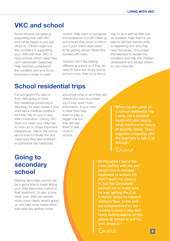#### VKC and school

Some schools are great at supporting kids with VKC and will be happy to put eye drops in. Others might not feel confident in supporting your child with their VKC or have policies which mean they can't administer medicines. Help teachers understand the condition and why it's so important to keep it under

control. Help them to recognize the symptoms of a VKC flare-up and ensure they know to inform you if your child's eyes seem to be getting worse. Share this booklet with them.

Children don't like feeling different at school so if they do need to have eye drops during school hours, then try to find a way to do it with as little fuss as possible. Help them to be able to tell their friends what is happening and why they need the drops. Encourage the teachers to explain the condition and help the children understand and accept others for who they are.

## School residential trips

For any parent the idea of their child going on their first residential school trip is daunting. It's even harder if your child has a medical condition and they rely on you to give them medication. Having VKC does not mean your child has to miss out on these important experiences. Talk to the school about how to handle this and make sure they feel confident to administer the medicines

and know what to do if they are unsure and how to contact you if they want more information. If your child is older then help them to play a bigger role too – that will help them to feel more in control.

"When my son goes on a school residential trip I write out a detailed treatment plan saying what medicine he needs at specific times. Then I organise a meeting with through."

Emma

"At this point I had a few more battles with my son about how to manage treatment at school. He didn't want me coming in, but his Consultant wanted me to make sure he was getting the 2 or 3-hourly drops he needed during a flare. In the end we compromised on me coming in once a day and Harry setting alarms on his phone at school to put his own drops in."

### Going to secondary school

Starting secondary school can be a good time to begin letting your child take more control of their treatment. It's also a time when your child can explain much more clearly what's going on and take more notice when their eyes are getting worse.

Emma <sup>9</sup>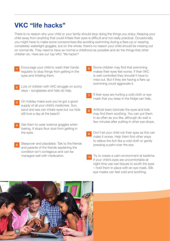#### VKC "life hacks"

There is no reason why your child or your family should stop doing the things you enjoy. Keeping your child away from anything that could irritate their eyes is difficult and not really practical. Occasionally, you might have to make some compromises like avoiding swimming during a flare-up or wearing completely watertight goggles, but on the whole, there's no reason your child should be missing out on normal life. They need to have as normal a childhood as possible and do the things that other children do. Here are our top VKC "life hacks"!

- Encourage your child to wash their hands regularly to stop things from getting in the eyes and irritating them. 1
- Lots of children with VKC struggle on sunny days – sunglasses and hats do help. 2
- On holiday make sure you've got a good supply of all your child's medicines. Sun, sand and sea can irritate eyes but our kids still love a day at the beach! 3
- Get them to wear science goggles when baking. It stops flour dust from getting in the eyes. 4
- Sleepover and playdates: Talk to the friends and parents of the friends explaining the condition isn't contagious and can be managed well with medication. 5
- Some children may find that swimming makes their eyes feel worse. If their VKC is well-controlled they shouldn't have to miss out. But if they are having a flare up swimming could aggravate it. 6
- If their eyes are hurting a cold cloth or eye mask that you keep in the fridge can help. 7
- Artificial tears lubricate the eyes and kids may find them soothing. You can put them in as often as you like, although do wait a few minutes after putting in other eye drops. 8
- Don't let your child rub their eyes as this can make it worse. Help them find other ways to relieve the itch like a cold cloth or gently pressing a palm over the eye. 9
- Try to create a calm environment at bedtime. If your child's eyes are uncomfortable at night time use wet tissues to sooth the eyes – hold them in place with an eye mask. Silk eye masks can feel cold and soothing. 10

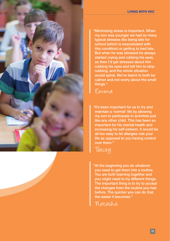

"Minimizing stress is important. When my son was younger we had so many typical stresses like being late for school (which is exacerbated with this condition) or getting to bed late. But when he was stressed he always started crying and rubbing his eyes, so then I'd get stressed about him rubbing his eyes and tell him to stop rubbing, and the whole situation would spiral. We've learnt to both be calmer and not worry about the small things."

#### Emma

"It's been important for us to try and maintain a 'normal' life by allowing my son to participate in activities just like any other child. This has been so important for his mental health and increasing his self-esteem. It would be all too easy to let allergies rule your life as opposed to you having control over them."



"At the beginning you do whatever you need to get them into a routine. You are both learning together and you might need to try different things. The important thing is to try to accept the changes from the routine you had before. The quicker you can do that the easier it becomes."

Natasha